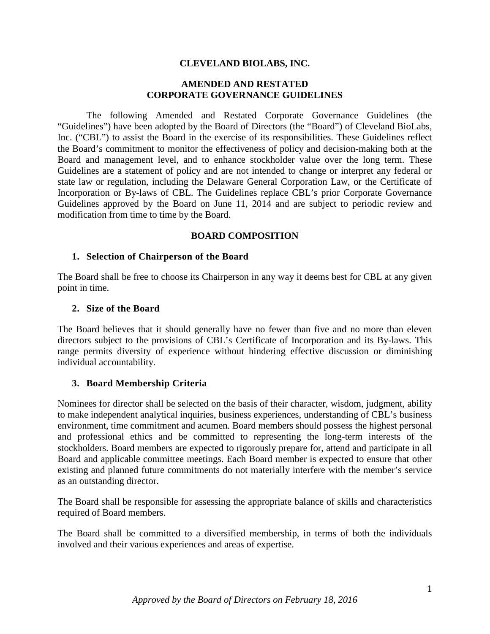#### **CLEVELAND BIOLABS, INC.**

#### **AMENDED AND RESTATED CORPORATE GOVERNANCE GUIDELINES**

The following Amended and Restated Corporate Governance Guidelines (the "Guidelines") have been adopted by the Board of Directors (the "Board") of Cleveland BioLabs, Inc. ("CBL") to assist the Board in the exercise of its responsibilities. These Guidelines reflect the Board's commitment to monitor the effectiveness of policy and decision-making both at the Board and management level, and to enhance stockholder value over the long term. These Guidelines are a statement of policy and are not intended to change or interpret any federal or state law or regulation, including the Delaware General Corporation Law, or the Certificate of Incorporation or By-laws of CBL. The Guidelines replace CBL's prior Corporate Governance Guidelines approved by the Board on June 11, 2014 and are subject to periodic review and modification from time to time by the Board.

#### **BOARD COMPOSITION**

#### **1. Selection of Chairperson of the Board**

The Board shall be free to choose its Chairperson in any way it deems best for CBL at any given point in time.

#### **2. Size of the Board**

The Board believes that it should generally have no fewer than five and no more than eleven directors subject to the provisions of CBL's Certificate of Incorporation and its By-laws. This range permits diversity of experience without hindering effective discussion or diminishing individual accountability.

#### **3. Board Membership Criteria**

Nominees for director shall be selected on the basis of their character, wisdom, judgment, ability to make independent analytical inquiries, business experiences, understanding of CBL's business environment, time commitment and acumen. Board members should possess the highest personal and professional ethics and be committed to representing the long-term interests of the stockholders. Board members are expected to rigorously prepare for, attend and participate in all Board and applicable committee meetings. Each Board member is expected to ensure that other existing and planned future commitments do not materially interfere with the member's service as an outstanding director.

The Board shall be responsible for assessing the appropriate balance of skills and characteristics required of Board members.

The Board shall be committed to a diversified membership, in terms of both the individuals involved and their various experiences and areas of expertise.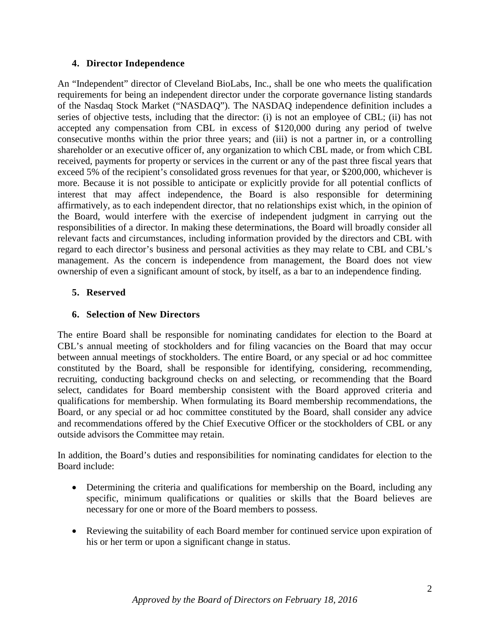### **4. Director Independence**

An "Independent" director of Cleveland BioLabs, Inc., shall be one who meets the qualification requirements for being an independent director under the corporate governance listing standards of the Nasdaq Stock Market ("NASDAQ"). The NASDAQ independence definition includes a series of objective tests, including that the director: (i) is not an employee of CBL; (ii) has not accepted any compensation from CBL in excess of \$120,000 during any period of twelve consecutive months within the prior three years; and (iii) is not a partner in, or a controlling shareholder or an executive officer of, any organization to which CBL made, or from which CBL received, payments for property or services in the current or any of the past three fiscal years that exceed 5% of the recipient's consolidated gross revenues for that year, or \$200,000, whichever is more. Because it is not possible to anticipate or explicitly provide for all potential conflicts of interest that may affect independence, the Board is also responsible for determining affirmatively, as to each independent director, that no relationships exist which, in the opinion of the Board, would interfere with the exercise of independent judgment in carrying out the responsibilities of a director. In making these determinations, the Board will broadly consider all relevant facts and circumstances, including information provided by the directors and CBL with regard to each director's business and personal activities as they may relate to CBL and CBL's management. As the concern is independence from management, the Board does not view ownership of even a significant amount of stock, by itself, as a bar to an independence finding.

### **5. Reserved**

## **6. Selection of New Directors**

The entire Board shall be responsible for nominating candidates for election to the Board at CBL's annual meeting of stockholders and for filing vacancies on the Board that may occur between annual meetings of stockholders. The entire Board, or any special or ad hoc committee constituted by the Board, shall be responsible for identifying, considering, recommending, recruiting, conducting background checks on and selecting, or recommending that the Board select, candidates for Board membership consistent with the Board approved criteria and qualifications for membership. When formulating its Board membership recommendations, the Board, or any special or ad hoc committee constituted by the Board, shall consider any advice and recommendations offered by the Chief Executive Officer or the stockholders of CBL or any outside advisors the Committee may retain.

In addition, the Board's duties and responsibilities for nominating candidates for election to the Board include:

- Determining the criteria and qualifications for membership on the Board, including any specific, minimum qualifications or qualities or skills that the Board believes are necessary for one or more of the Board members to possess.
- Reviewing the suitability of each Board member for continued service upon expiration of his or her term or upon a significant change in status.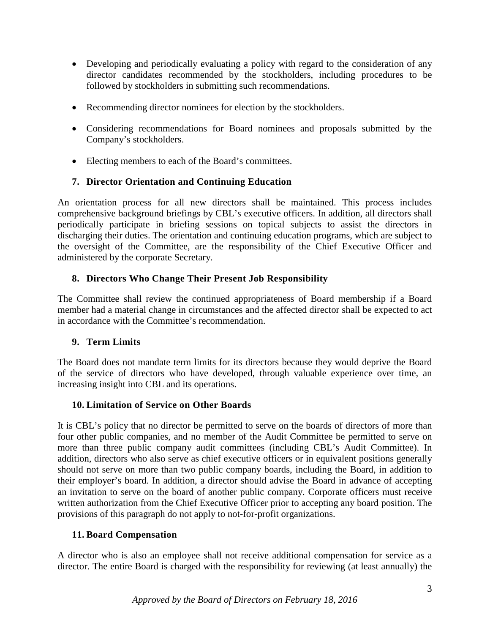- Developing and periodically evaluating a policy with regard to the consideration of any director candidates recommended by the stockholders, including procedures to be followed by stockholders in submitting such recommendations.
- Recommending director nominees for election by the stockholders.
- Considering recommendations for Board nominees and proposals submitted by the Company's stockholders.
- Electing members to each of the Board's committees.

## **7. Director Orientation and Continuing Education**

An orientation process for all new directors shall be maintained. This process includes comprehensive background briefings by CBL's executive officers. In addition, all directors shall periodically participate in briefing sessions on topical subjects to assist the directors in discharging their duties. The orientation and continuing education programs, which are subject to the oversight of the Committee, are the responsibility of the Chief Executive Officer and administered by the corporate Secretary.

## **8. Directors Who Change Their Present Job Responsibility**

The Committee shall review the continued appropriateness of Board membership if a Board member had a material change in circumstances and the affected director shall be expected to act in accordance with the Committee's recommendation.

### **9. Term Limits**

The Board does not mandate term limits for its directors because they would deprive the Board of the service of directors who have developed, through valuable experience over time, an increasing insight into CBL and its operations.

### **10. Limitation of Service on Other Boards**

It is CBL's policy that no director be permitted to serve on the boards of directors of more than four other public companies, and no member of the Audit Committee be permitted to serve on more than three public company audit committees (including CBL's Audit Committee). In addition, directors who also serve as chief executive officers or in equivalent positions generally should not serve on more than two public company boards, including the Board, in addition to their employer's board. In addition, a director should advise the Board in advance of accepting an invitation to serve on the board of another public company. Corporate officers must receive written authorization from the Chief Executive Officer prior to accepting any board position. The provisions of this paragraph do not apply to not-for-profit organizations.

# **11. Board Compensation**

A director who is also an employee shall not receive additional compensation for service as a director. The entire Board is charged with the responsibility for reviewing (at least annually) the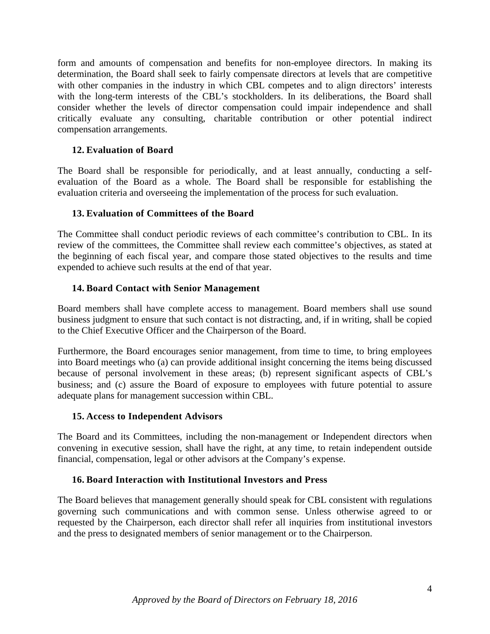form and amounts of compensation and benefits for non-employee directors. In making its determination, the Board shall seek to fairly compensate directors at levels that are competitive with other companies in the industry in which CBL competes and to align directors' interests with the long-term interests of the CBL's stockholders. In its deliberations, the Board shall consider whether the levels of director compensation could impair independence and shall critically evaluate any consulting, charitable contribution or other potential indirect compensation arrangements.

## **12. Evaluation of Board**

The Board shall be responsible for periodically, and at least annually, conducting a selfevaluation of the Board as a whole. The Board shall be responsible for establishing the evaluation criteria and overseeing the implementation of the process for such evaluation.

### **13. Evaluation of Committees of the Board**

The Committee shall conduct periodic reviews of each committee's contribution to CBL. In its review of the committees, the Committee shall review each committee's objectives, as stated at the beginning of each fiscal year, and compare those stated objectives to the results and time expended to achieve such results at the end of that year.

## **14. Board Contact with Senior Management**

Board members shall have complete access to management. Board members shall use sound business judgment to ensure that such contact is not distracting, and, if in writing, shall be copied to the Chief Executive Officer and the Chairperson of the Board.

Furthermore, the Board encourages senior management, from time to time, to bring employees into Board meetings who (a) can provide additional insight concerning the items being discussed because of personal involvement in these areas; (b) represent significant aspects of CBL's business; and (c) assure the Board of exposure to employees with future potential to assure adequate plans for management succession within CBL.

### **15. Access to Independent Advisors**

The Board and its Committees, including the non-management or Independent directors when convening in executive session, shall have the right, at any time, to retain independent outside financial, compensation, legal or other advisors at the Company's expense.

### **16. Board Interaction with Institutional Investors and Press**

The Board believes that management generally should speak for CBL consistent with regulations governing such communications and with common sense. Unless otherwise agreed to or requested by the Chairperson, each director shall refer all inquiries from institutional investors and the press to designated members of senior management or to the Chairperson.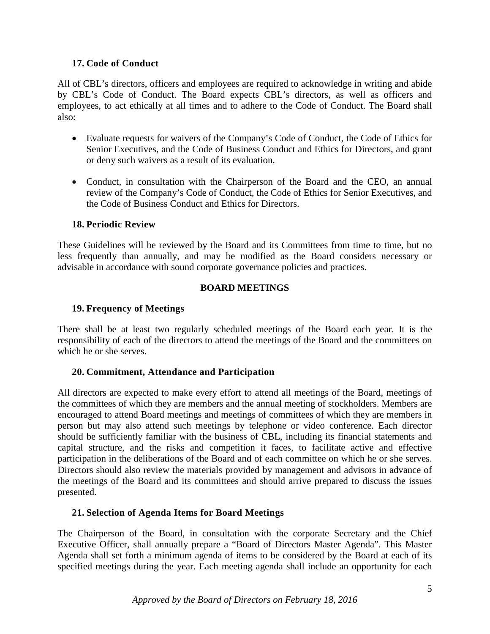### **17. Code of Conduct**

All of CBL's directors, officers and employees are required to acknowledge in writing and abide by CBL's Code of Conduct. The Board expects CBL's directors, as well as officers and employees, to act ethically at all times and to adhere to the Code of Conduct. The Board shall also:

- Evaluate requests for waivers of the Company's Code of Conduct, the Code of Ethics for Senior Executives, and the Code of Business Conduct and Ethics for Directors, and grant or deny such waivers as a result of its evaluation.
- Conduct, in consultation with the Chairperson of the Board and the CEO, an annual review of the Company's Code of Conduct, the Code of Ethics for Senior Executives, and the Code of Business Conduct and Ethics for Directors.

### **18. Periodic Review**

These Guidelines will be reviewed by the Board and its Committees from time to time, but no less frequently than annually, and may be modified as the Board considers necessary or advisable in accordance with sound corporate governance policies and practices.

## **BOARD MEETINGS**

## **19. Frequency of Meetings**

There shall be at least two regularly scheduled meetings of the Board each year. It is the responsibility of each of the directors to attend the meetings of the Board and the committees on which he or she serves.

### **20. Commitment, Attendance and Participation**

All directors are expected to make every effort to attend all meetings of the Board, meetings of the committees of which they are members and the annual meeting of stockholders. Members are encouraged to attend Board meetings and meetings of committees of which they are members in person but may also attend such meetings by telephone or video conference. Each director should be sufficiently familiar with the business of CBL, including its financial statements and capital structure, and the risks and competition it faces, to facilitate active and effective participation in the deliberations of the Board and of each committee on which he or she serves. Directors should also review the materials provided by management and advisors in advance of the meetings of the Board and its committees and should arrive prepared to discuss the issues presented.

### **21. Selection of Agenda Items for Board Meetings**

The Chairperson of the Board, in consultation with the corporate Secretary and the Chief Executive Officer, shall annually prepare a "Board of Directors Master Agenda". This Master Agenda shall set forth a minimum agenda of items to be considered by the Board at each of its specified meetings during the year. Each meeting agenda shall include an opportunity for each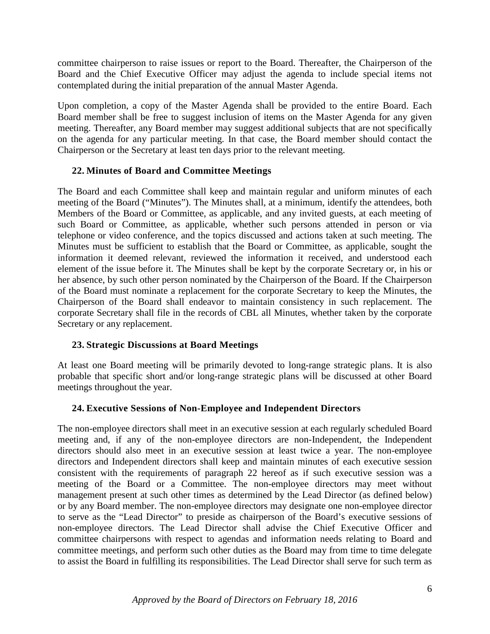committee chairperson to raise issues or report to the Board. Thereafter, the Chairperson of the Board and the Chief Executive Officer may adjust the agenda to include special items not contemplated during the initial preparation of the annual Master Agenda.

Upon completion, a copy of the Master Agenda shall be provided to the entire Board. Each Board member shall be free to suggest inclusion of items on the Master Agenda for any given meeting. Thereafter, any Board member may suggest additional subjects that are not specifically on the agenda for any particular meeting. In that case, the Board member should contact the Chairperson or the Secretary at least ten days prior to the relevant meeting.

### **22. Minutes of Board and Committee Meetings**

The Board and each Committee shall keep and maintain regular and uniform minutes of each meeting of the Board ("Minutes"). The Minutes shall, at a minimum, identify the attendees, both Members of the Board or Committee, as applicable, and any invited guests, at each meeting of such Board or Committee, as applicable, whether such persons attended in person or via telephone or video conference, and the topics discussed and actions taken at such meeting. The Minutes must be sufficient to establish that the Board or Committee, as applicable, sought the information it deemed relevant, reviewed the information it received, and understood each element of the issue before it. The Minutes shall be kept by the corporate Secretary or, in his or her absence, by such other person nominated by the Chairperson of the Board. If the Chairperson of the Board must nominate a replacement for the corporate Secretary to keep the Minutes, the Chairperson of the Board shall endeavor to maintain consistency in such replacement. The corporate Secretary shall file in the records of CBL all Minutes, whether taken by the corporate Secretary or any replacement.

### **23. Strategic Discussions at Board Meetings**

At least one Board meeting will be primarily devoted to long-range strategic plans. It is also probable that specific short and/or long-range strategic plans will be discussed at other Board meetings throughout the year.

# **24. Executive Sessions of Non-Employee and Independent Directors**

The non-employee directors shall meet in an executive session at each regularly scheduled Board meeting and, if any of the non-employee directors are non-Independent, the Independent directors should also meet in an executive session at least twice a year. The non-employee directors and Independent directors shall keep and maintain minutes of each executive session consistent with the requirements of paragraph 22 hereof as if such executive session was a meeting of the Board or a Committee. The non-employee directors may meet without management present at such other times as determined by the Lead Director (as defined below) or by any Board member. The non-employee directors may designate one non-employee director to serve as the "Lead Director" to preside as chairperson of the Board's executive sessions of non-employee directors. The Lead Director shall advise the Chief Executive Officer and committee chairpersons with respect to agendas and information needs relating to Board and committee meetings, and perform such other duties as the Board may from time to time delegate to assist the Board in fulfilling its responsibilities. The Lead Director shall serve for such term as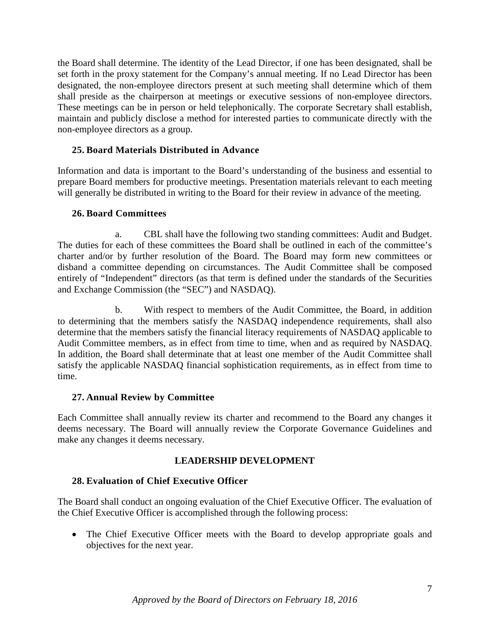the Board shall determine. The identity of the Lead Director, if one has been designated, shall be set forth in the proxy statement for the Company's annual meeting. If no Lead Director has been designated, the non-employee directors present at such meeting shall determine which of them shall preside as the chairperson at meetings or executive sessions of non-employee directors. These meetings can be in person or held telephonically. The corporate Secretary shall establish, maintain and publicly disclose a method for interested parties to communicate directly with the non-employee directors as a group.

#### **25. Board Materials Distributed in Advance**

Information and data is important to the Board's understanding of the business and essential to prepare Board members for productive meetings. Presentation materials relevant to each meeting will generally be distributed in writing to the Board for their review in advance of the meeting.

#### **26. Board Committees**

a. CBL shall have the following two standing committees: Audit and Budget. The duties for each of these committees the Board shall be outlined in each of the committee's charter and/or by further resolution of the Board. The Board may form new committees or disband a committee depending on circumstances. The Audit Committee shall be composed entirely of "Independent" directors (as that term is defined under the standards of the Securities and Exchange Commission (the "SEC") and NASDAQ).

b. With respect to members of the Audit Committee, the Board, in addition to determining that the members satisfy the NASDAQ independence requirements, shall also determine that the members satisfy the financial literacy requirements of NASDAQ applicable to Audit Committee members, as in effect from time to time, when and as required by NASDAQ. In addition, the Board shall determinate that at least one member of the Audit Committee shall satisfy the applicable NASDAQ financial sophistication requirements, as in effect from time to time.

### **27. Annual Review by Committee**

Each Committee shall annually review its charter and recommend to the Board any changes it deems necessary. The Board will annually review the Corporate Governance Guidelines and make any changes it deems necessary.

### **LEADERSHIP DEVELOPMENT**

### **28. Evaluation of Chief Executive Officer**

The Board shall conduct an ongoing evaluation of the Chief Executive Officer. The evaluation of the Chief Executive Officer is accomplished through the following process:

• The Chief Executive Officer meets with the Board to develop appropriate goals and objectives for the next year.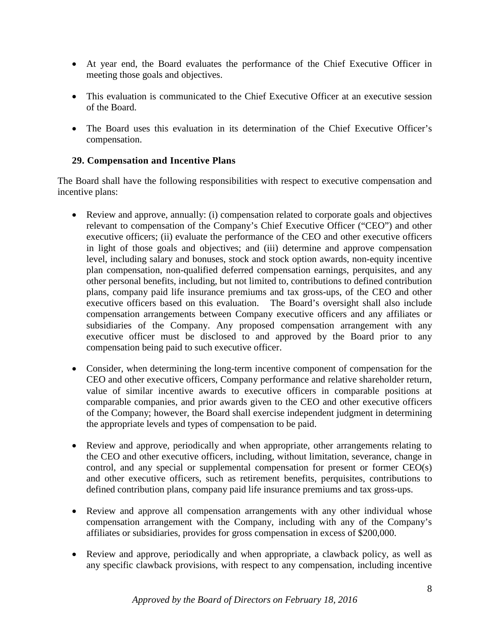- At year end, the Board evaluates the performance of the Chief Executive Officer in meeting those goals and objectives.
- This evaluation is communicated to the Chief Executive Officer at an executive session of the Board.
- The Board uses this evaluation in its determination of the Chief Executive Officer's compensation.

## **29. Compensation and Incentive Plans**

The Board shall have the following responsibilities with respect to executive compensation and incentive plans:

- Review and approve, annually: (i) compensation related to corporate goals and objectives relevant to compensation of the Company's Chief Executive Officer ("CEO") and other executive officers; (ii) evaluate the performance of the CEO and other executive officers in light of those goals and objectives; and (iii) determine and approve compensation level, including salary and bonuses, stock and stock option awards, non-equity incentive plan compensation, non-qualified deferred compensation earnings, perquisites, and any other personal benefits, including, but not limited to, contributions to defined contribution plans, company paid life insurance premiums and tax gross-ups, of the CEO and other executive officers based on this evaluation. The Board's oversight shall also include compensation arrangements between Company executive officers and any affiliates or subsidiaries of the Company. Any proposed compensation arrangement with any executive officer must be disclosed to and approved by the Board prior to any compensation being paid to such executive officer.
- Consider, when determining the long-term incentive component of compensation for the CEO and other executive officers, Company performance and relative shareholder return, value of similar incentive awards to executive officers in comparable positions at comparable companies, and prior awards given to the CEO and other executive officers of the Company; however, the Board shall exercise independent judgment in determining the appropriate levels and types of compensation to be paid.
- Review and approve, periodically and when appropriate, other arrangements relating to the CEO and other executive officers, including, without limitation, severance, change in control, and any special or supplemental compensation for present or former CEO(s) and other executive officers, such as retirement benefits, perquisites, contributions to defined contribution plans, company paid life insurance premiums and tax gross-ups.
- Review and approve all compensation arrangements with any other individual whose compensation arrangement with the Company, including with any of the Company's affiliates or subsidiaries, provides for gross compensation in excess of \$200,000.
- Review and approve, periodically and when appropriate, a clawback policy, as well as any specific clawback provisions, with respect to any compensation, including incentive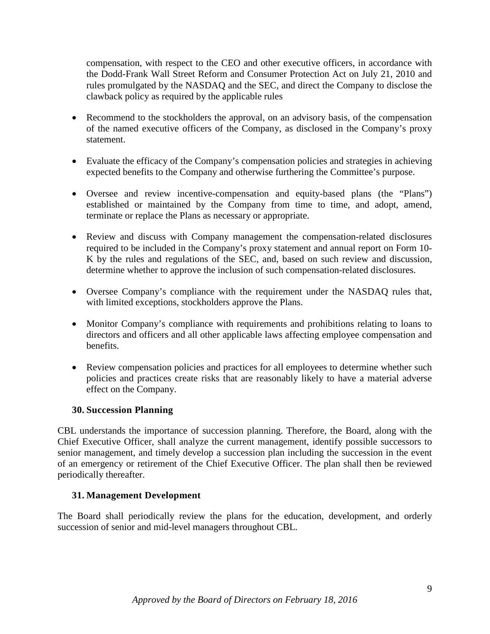compensation, with respect to the CEO and other executive officers, in accordance with the Dodd-Frank Wall Street Reform and Consumer Protection Act on July 21, 2010 and rules promulgated by the NASDAQ and the SEC, and direct the Company to disclose the clawback policy as required by the applicable rules

- Recommend to the stockholders the approval, on an advisory basis, of the compensation of the named executive officers of the Company, as disclosed in the Company's proxy statement.
- Evaluate the efficacy of the Company's compensation policies and strategies in achieving expected benefits to the Company and otherwise furthering the Committee's purpose.
- Oversee and review incentive-compensation and equity-based plans (the "Plans") established or maintained by the Company from time to time, and adopt, amend, terminate or replace the Plans as necessary or appropriate.
- Review and discuss with Company management the compensation-related disclosures required to be included in the Company's proxy statement and annual report on Form 10- K by the rules and regulations of the SEC, and, based on such review and discussion, determine whether to approve the inclusion of such compensation-related disclosures.
- Oversee Company's compliance with the requirement under the NASDAQ rules that, with limited exceptions, stockholders approve the Plans.
- Monitor Company's compliance with requirements and prohibitions relating to loans to directors and officers and all other applicable laws affecting employee compensation and benefits.
- Review compensation policies and practices for all employees to determine whether such policies and practices create risks that are reasonably likely to have a material adverse effect on the Company.

### **30. Succession Planning**

CBL understands the importance of succession planning. Therefore, the Board, along with the Chief Executive Officer, shall analyze the current management, identify possible successors to senior management, and timely develop a succession plan including the succession in the event of an emergency or retirement of the Chief Executive Officer. The plan shall then be reviewed periodically thereafter.

#### **31. Management Development**

The Board shall periodically review the plans for the education, development, and orderly succession of senior and mid-level managers throughout CBL.